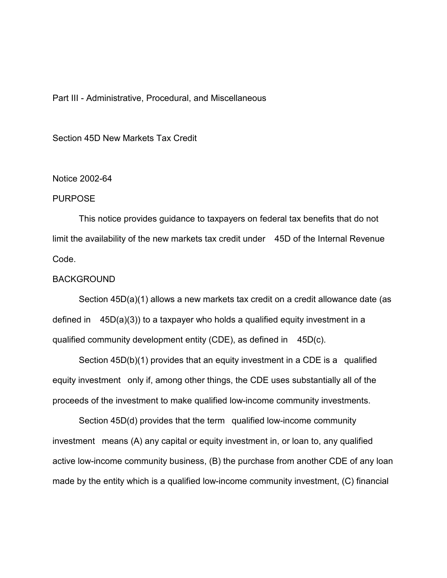# Part III - Administrative, Procedural, and Miscellaneous

Section 45D New Markets Tax Credit

# Notice 2002-64

### **PURPOSE**

This notice provides guidance to taxpayers on federal tax benefits that do not limit the availability of the new markets tax credit under 45D of the Internal Revenue Code.

#### BACKGROUND

Section 45D(a)(1) allows a new markets tax credit on a credit allowance date (as defined in 45D(a)(3)) to a taxpayer who holds a qualified equity investment in a qualified community development entity (CDE), as defined in 45D(c).

Section 45D(b)(1) provides that an equity investment in a CDE is a qualified equity investment only if, among other things, the CDE uses substantially all of the proceeds of the investment to make qualified low-income community investments.

Section 45D(d) provides that the term qualified low-income community investment means (A) any capital or equity investment in, or loan to, any qualified active low-income community business, (B) the purchase from another CDE of any loan made by the entity which is a qualified low-income community investment, (C) financial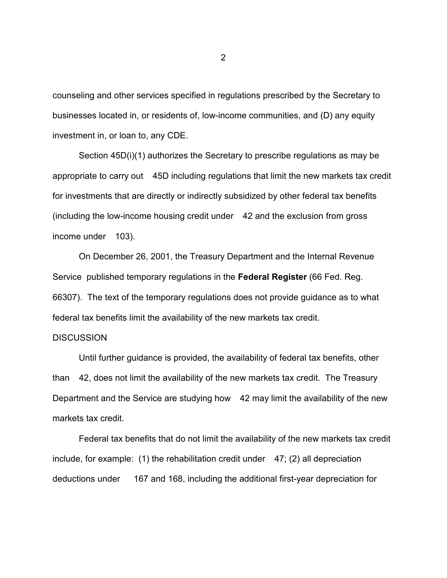counseling and other services specified in regulations prescribed by the Secretary to businesses located in, or residents of, low-income communities, and (D) any equity investment in, or loan to, any CDE.

Section 45D(i)(1) authorizes the Secretary to prescribe regulations as may be appropriate to carry out 45D including regulations that limit the new markets tax credit for investments that are directly or indirectly subsidized by other federal tax benefits (including the low-income housing credit under 42 and the exclusion from gross income under 103).

On December 26, 2001, the Treasury Department and the Internal Revenue Service published temporary regulations in the **Federal Register** (66 Fed. Reg. 66307). The text of the temporary regulations does not provide guidance as to what federal tax benefits limit the availability of the new markets tax credit.

# **DISCUSSION**

Until further guidance is provided, the availability of federal tax benefits, other than 42, does not limit the availability of the new markets tax credit. The Treasury Department and the Service are studying how 42 may limit the availability of the new markets tax credit.

Federal tax benefits that do not limit the availability of the new markets tax credit include, for example:  $(1)$  the rehabilitation credit under  $47$ ;  $(2)$  all depreciation deductions under 167 and 168, including the additional first-year depreciation for

2